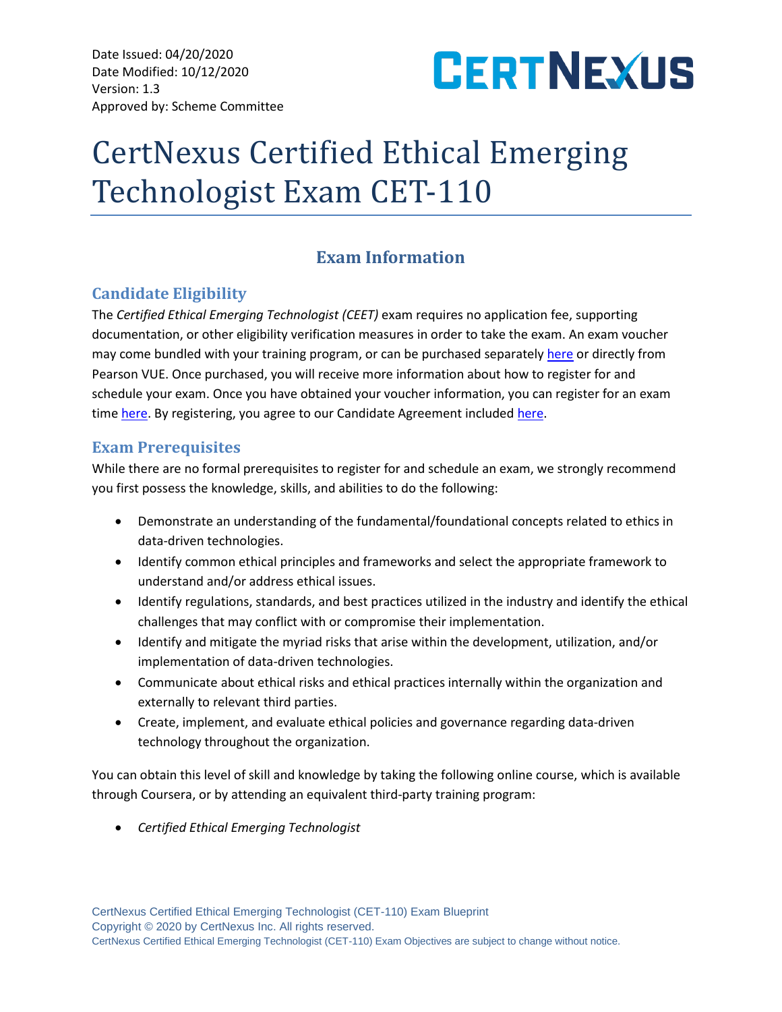Date Issued: 04/20/2020 Date Modified: 10/12/2020 Version: 1.3 Approved by: Scheme Committee



# CertNexus Certified Ethical Emerging Technologist Exam CET-110

# **Exam Information**

# **Candidate Eligibility**

The *Certified Ethical Emerging Technologist (CEET)* exam requires no application fee, supporting documentation, or other eligibility verification measures in order to take the exam. An exam voucher may come bundled with your training program, or can be purchased separately [here](https://store.certnexus.com/) or directly from Pearson VUE. Once purchased, you will receive more information about how to register for and schedule your exam. Once you have obtained your voucher information, you can register for an exam time [here.](https://certnexus.com/wp-content/uploads/2018/07/CertNexus-Candidate-Handbook-050219.pdf) By registering, you agree to our Candidate Agreement included here.

# **Exam Prerequisites**

While there are no formal prerequisites to register for and schedule an exam, we strongly recommend you first possess the knowledge, skills, and abilities to do the following:

- Demonstrate an understanding of the fundamental/foundational concepts related to ethics in data-driven technologies.
- Identify common ethical principles and frameworks and select the appropriate framework to understand and/or address ethical issues.
- Identify regulations, standards, and best practices utilized in the industry and identify the ethical challenges that may conflict with or compromise their implementation.
- Identify and mitigate the myriad risks that arise within the development, utilization, and/or implementation of data-driven technologies.
- Communicate about ethical risks and ethical practices internally within the organization and externally to relevant third parties.
- Create, implement, and evaluate ethical policies and governance regarding data-driven technology throughout the organization.

You can obtain this level of skill and knowledge by taking the following online course, which is available through Coursera, or by attending an equivalent third-party training program:

• *Certified Ethical Emerging Technologist*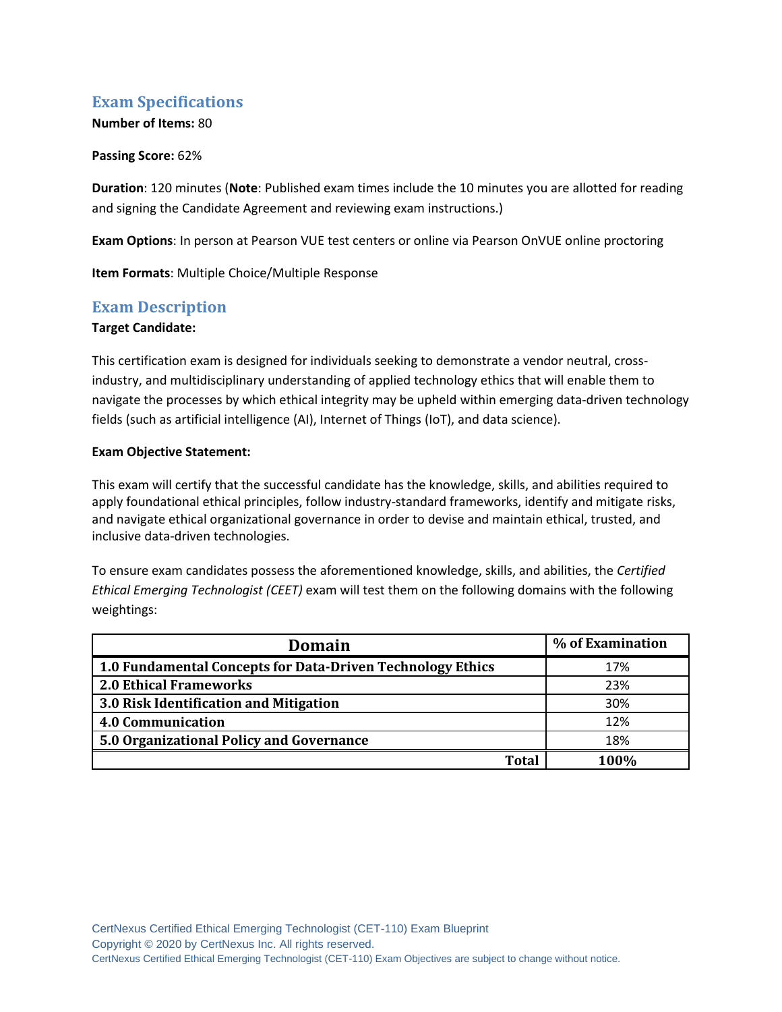# **Exam Specifications**

# **Number of Items:** 80

#### **Passing Score:** 62%

**Duration**: 120 minutes (**Note**: Published exam times include the 10 minutes you are allotted for reading and signing the Candidate Agreement and reviewing exam instructions.)

**Exam Options**: In person at Pearson VUE test centers or online via Pearson OnVUE online proctoring

**Item Formats**: Multiple Choice/Multiple Response

# **Exam Description**

#### **Target Candidate:**

This certification exam is designed for individuals seeking to demonstrate a vendor neutral, crossindustry, and multidisciplinary understanding of applied technology ethics that will enable them to navigate the processes by which ethical integrity may be upheld within emerging data-driven technology fields (such as artificial intelligence (AI), Internet of Things (IoT), and data science).

#### **Exam Objective Statement:**

This exam will certify that the successful candidate has the knowledge, skills, and abilities required to apply foundational ethical principles, follow industry-standard frameworks, identify and mitigate risks, and navigate ethical organizational governance in order to devise and maintain ethical, trusted, and inclusive data-driven technologies.

To ensure exam candidates possess the aforementioned knowledge, skills, and abilities, the *Certified Ethical Emerging Technologist (CEET)* exam will test them on the following domains with the following weightings:

| Domain                                                     | % of Examination |
|------------------------------------------------------------|------------------|
| 1.0 Fundamental Concepts for Data-Driven Technology Ethics | 17%              |
| <b>2.0 Ethical Frameworks</b>                              | 23%              |
| 3.0 Risk Identification and Mitigation                     | 30%              |
| <b>4.0 Communication</b>                                   | 12%              |
| 5.0 Organizational Policy and Governance                   | 18%              |
| Total                                                      | 1 በበ%            |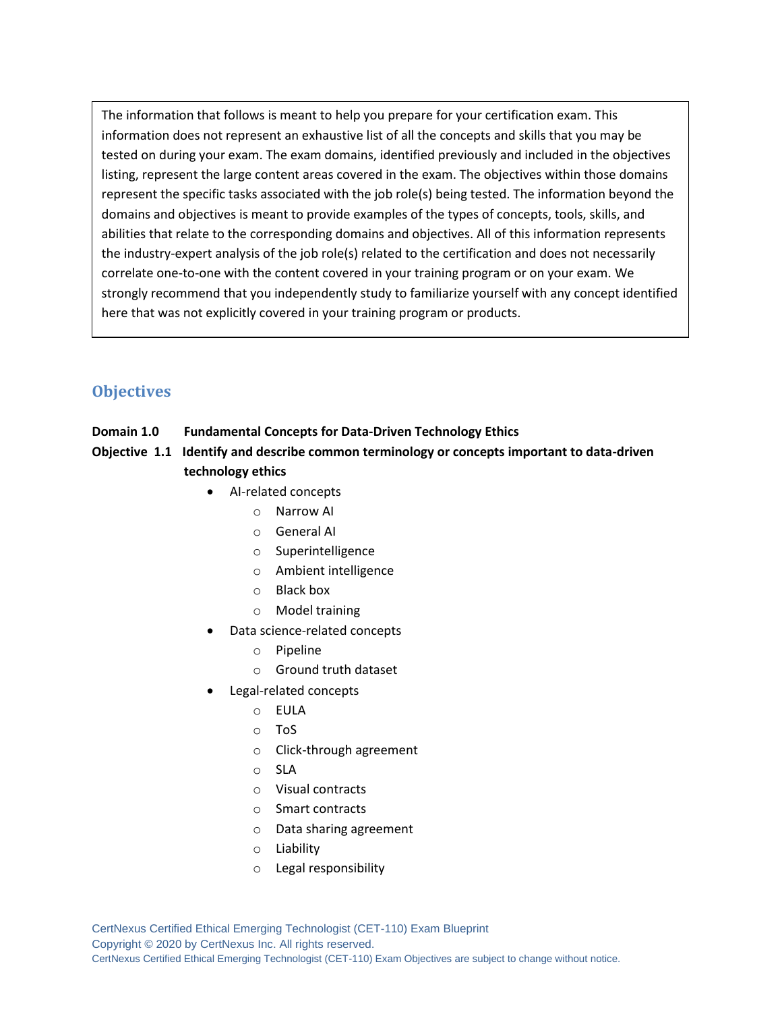The information that follows is meant to help you prepare for your certification exam. This information does not represent an exhaustive list of all the concepts and skills that you may be tested on during your exam. The exam domains, identified previously and included in the objectives listing, represent the large content areas covered in the exam. The objectives within those domains represent the specific tasks associated with the job role(s) being tested. The information beyond the domains and objectives is meant to provide examples of the types of concepts, tools, skills, and abilities that relate to the corresponding domains and objectives. All of this information represents the industry-expert analysis of the job role(s) related to the certification and does not necessarily correlate one-to-one with the content covered in your training program or on your exam. We strongly recommend that you independently study to familiarize yourself with any concept identified here that was not explicitly covered in your training program or products.

# **Objectives**

- **Domain 1.0 Fundamental Concepts for Data-Driven Technology Ethics**
- **Objective 1.1 Identify and describe common terminology or concepts important to data-driven technology ethics**
	- AI-related concepts
		- o Narrow AI
		- o General AI
		- o Superintelligence
		- o Ambient intelligence
		- o Black box
		- o Model training
	- Data science-related concepts
		- o Pipeline
		- o Ground truth dataset
	- Legal-related concepts
		- o EULA
		- o ToS
		- o Click-through agreement
		- o SLA
		- o Visual contracts
		- o Smart contracts
		- o Data sharing agreement
		- o Liability
		- o Legal responsibility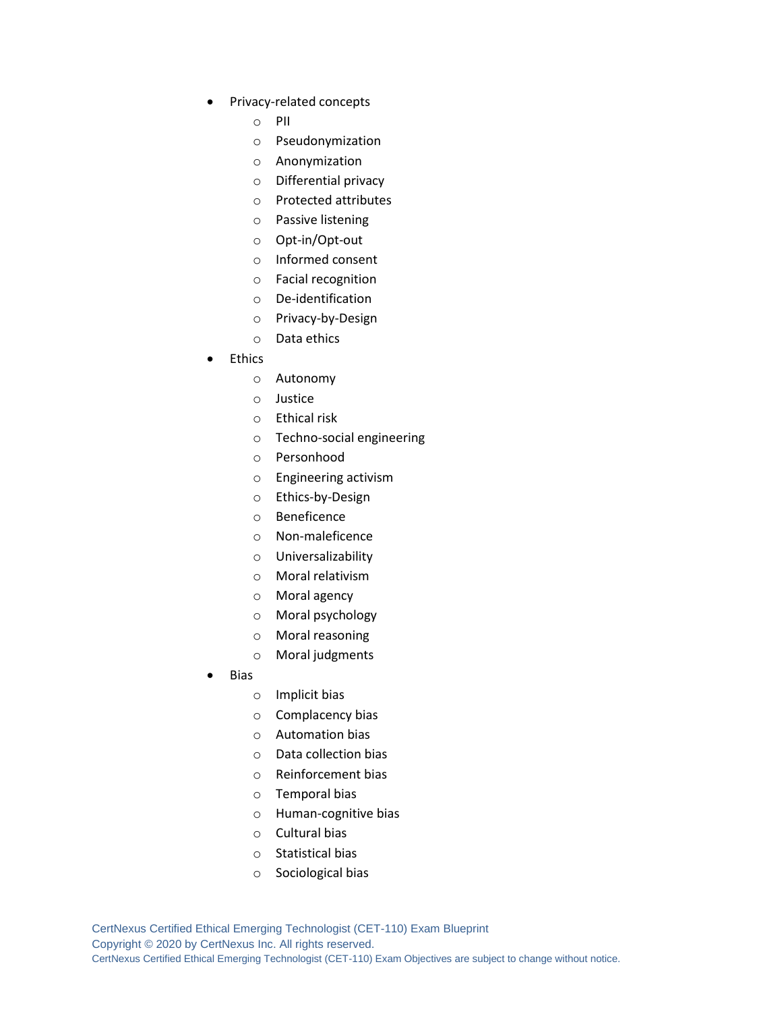- Privacy-related concepts
	- o PII
	- o Pseudonymization
	- o Anonymization
	- o Differential privacy
	- o Protected attributes
	- o Passive listening
	- o Opt-in/Opt-out
	- o Informed consent
	- o Facial recognition
	- o De-identification
	- o Privacy-by-Design
	- o Data ethics
- **Ethics** 
	- o Autonomy
	- o Justice
	- o Ethical risk
	- o Techno-social engineering
	- o Personhood
	- o Engineering activism
	- o Ethics-by-Design
	- o Beneficence
	- o Non-maleficence
	- o Universalizability
	- o Moral relativism
	- o Moral agency
	- o Moral psychology
	- o Moral reasoning
	- o Moral judgments
- **Bias** 
	- o Implicit bias
	- o Complacency bias
	- o Automation bias
	- o Data collection bias
	- o Reinforcement bias
	- o Temporal bias
	- o Human-cognitive bias
	- o Cultural bias
	- o Statistical bias
	- o Sociological bias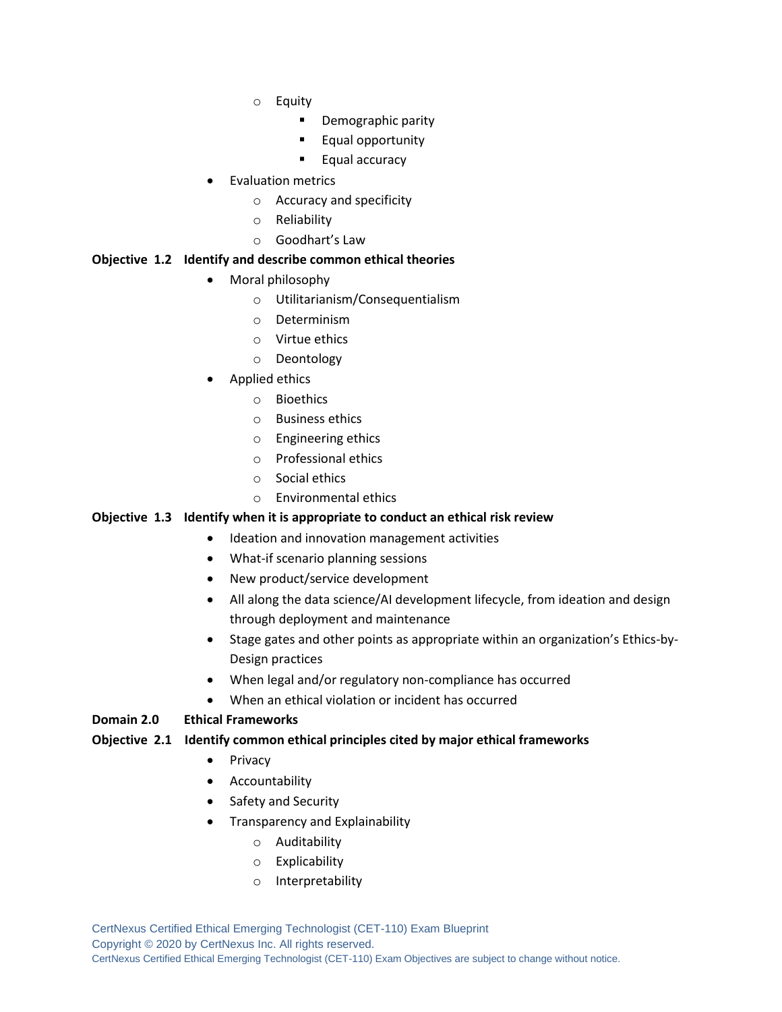- o Equity
	- Demographic parity
	- Equal opportunity
	- Equal accuracy
- Evaluation metrics
	- o Accuracy and specificity
	- o Reliability
	- o Goodhart's Law

#### **Objective 1.2 Identify and describe common ethical theories**

- Moral philosophy
	- o Utilitarianism/Consequentialism
	- o Determinism
	- o Virtue ethics
	- o Deontology
- Applied ethics
	- o Bioethics
	- o Business ethics
	- o Engineering ethics
	- o Professional ethics
	- o Social ethics
	- o Environmental ethics

#### **Objective 1.3 Identify when it is appropriate to conduct an ethical risk review**

- Ideation and innovation management activities
- What-if scenario planning sessions
- New product/service development
- All along the data science/AI development lifecycle, from ideation and design through deployment and maintenance
- Stage gates and other points as appropriate within an organization's Ethics-by-Design practices
- When legal and/or regulatory non-compliance has occurred
- When an ethical violation or incident has occurred

#### **Domain 2.0 Ethical Frameworks**

#### **Objective 2.1 Identify common ethical principles cited by major ethical frameworks**

- Privacy
- Accountability
- Safety and Security
- Transparency and Explainability
	- o Auditability
	- o Explicability
	- o Interpretability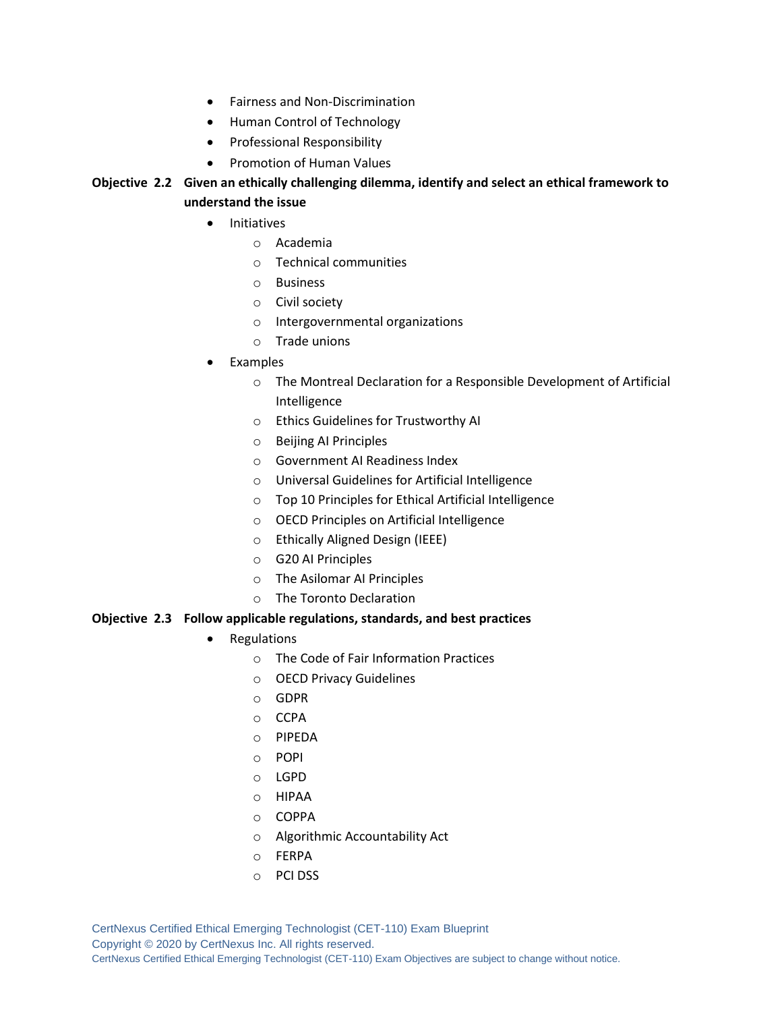- Fairness and Non-Discrimination
- Human Control of Technology
- Professional Responsibility
- Promotion of Human Values

# **Objective 2.2 Given an ethically challenging dilemma, identify and select an ethical framework to understand the issue**

- Initiatives
	- o Academia
	- o Technical communities
	- o Business
	- o Civil society
	- o Intergovernmental organizations
	- o Trade unions
- **Examples** 
	- o The Montreal Declaration for a Responsible Development of Artificial Intelligence
	- o Ethics Guidelines for Trustworthy AI
	- o Beijing AI Principles
	- o Government AI Readiness Index
	- o Universal Guidelines for Artificial Intelligence
	- o Top 10 Principles for Ethical Artificial Intelligence
	- o OECD Principles on Artificial Intelligence
	- o Ethically Aligned Design (IEEE)
	- o G20 AI Principles
	- o The Asilomar AI Principles
	- o The Toronto Declaration

#### **Objective 2.3 Follow applicable regulations, standards, and best practices**

- Regulations
	- o The Code of Fair Information Practices
	- o OECD Privacy Guidelines
	- o GDPR
	- o CCPA
	- o PIPEDA
	- o POPI
	- o LGPD
	- o HIPAA
	- o COPPA
	- o Algorithmic Accountability Act
	- o FERPA
	- o PCI DSS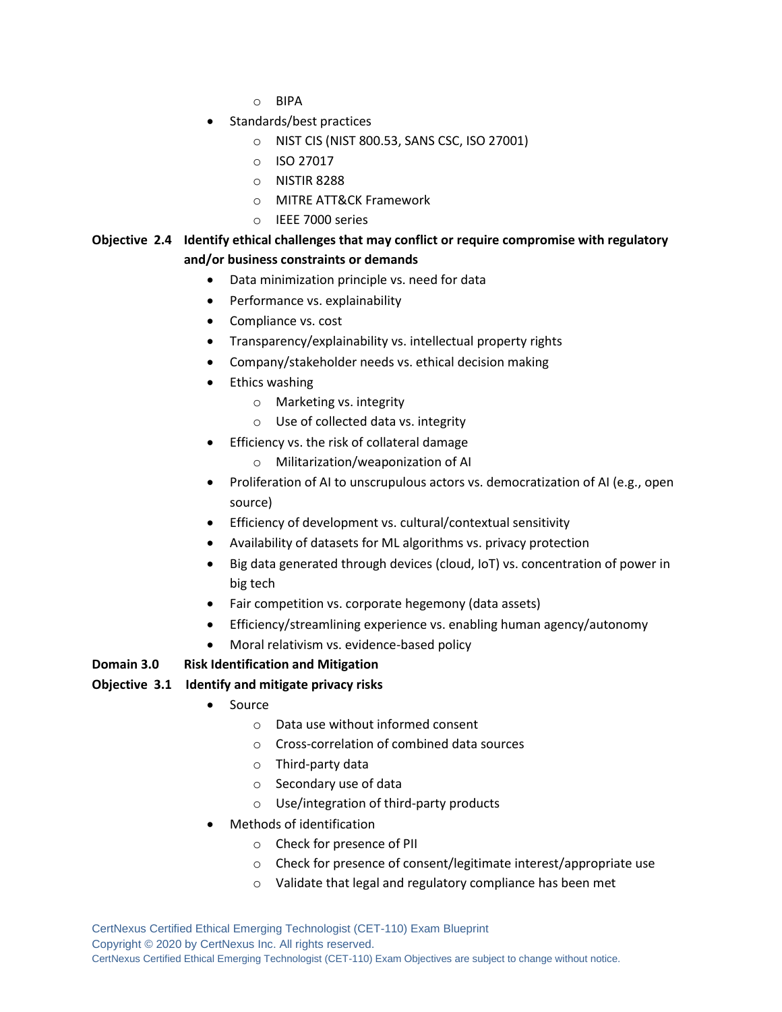- o BIPA
- Standards/best practices
	- o NIST CIS (NIST 800.53, SANS CSC, ISO 27001)
	- o ISO 27017
	- o NISTIR 8288
	- o MITRE ATT&CK Framework
	- o IEEE 7000 series

### **Objective 2.4 Identify ethical challenges that may conflict or require compromise with regulatory and/or business constraints or demands**

- Data minimization principle vs. need for data
- Performance vs. explainability
- Compliance vs. cost
- Transparency/explainability vs. intellectual property rights
- Company/stakeholder needs vs. ethical decision making
- Ethics washing
	- o Marketing vs. integrity
	- o Use of collected data vs. integrity
- Efficiency vs. the risk of collateral damage
	- o Militarization/weaponization of AI
- Proliferation of AI to unscrupulous actors vs. democratization of AI (e.g., open source)
- Efficiency of development vs. cultural/contextual sensitivity
- Availability of datasets for ML algorithms vs. privacy protection
- Big data generated through devices (cloud, IoT) vs. concentration of power in big tech
- Fair competition vs. corporate hegemony (data assets)
- Efficiency/streamlining experience vs. enabling human agency/autonomy
- Moral relativism vs. evidence-based policy

#### **Domain 3.0 Risk Identification and Mitigation**

#### **Objective 3.1 Identify and mitigate privacy risks**

- Source
	- o Data use without informed consent
	- o Cross-correlation of combined data sources
	- o Third-party data
	- o Secondary use of data
	- o Use/integration of third-party products
- Methods of identification
	- o Check for presence of PII
	- o Check for presence of consent/legitimate interest/appropriate use
	- o Validate that legal and regulatory compliance has been met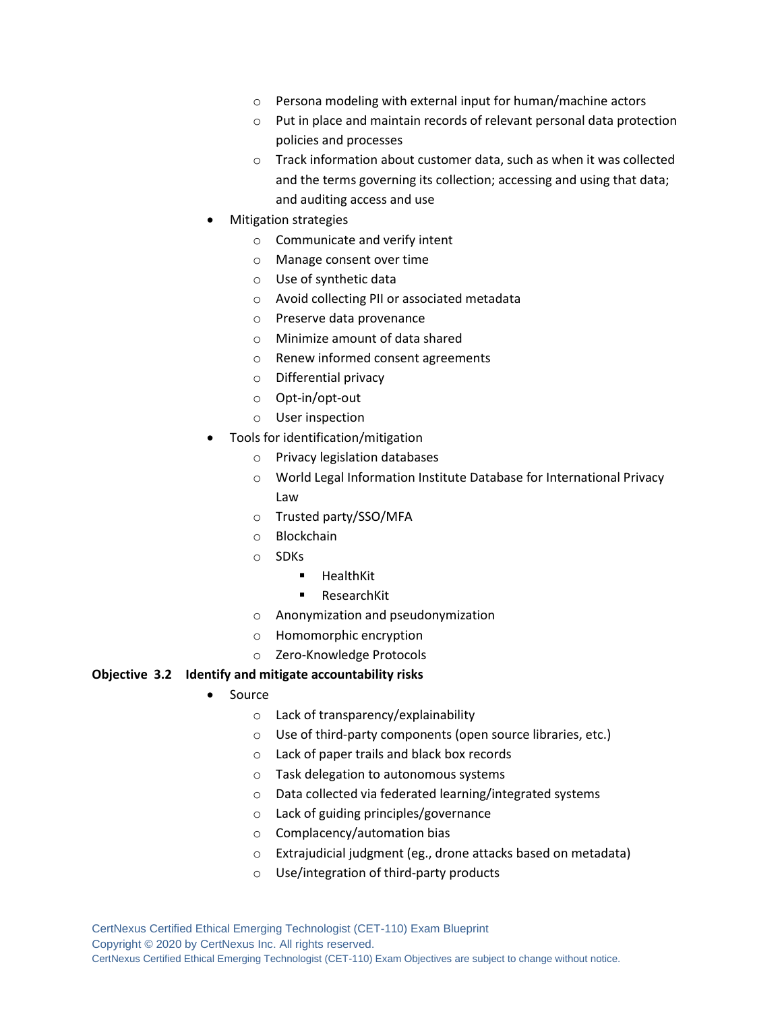- o Persona modeling with external input for human/machine actors
- o Put in place and maintain records of relevant personal data protection policies and processes
- o Track information about customer data, such as when it was collected and the terms governing its collection; accessing and using that data; and auditing access and use
- Mitigation strategies
	- o Communicate and verify intent
	- o Manage consent over time
	- o Use of synthetic data
	- o Avoid collecting PII or associated metadata
	- o Preserve data provenance
	- o Minimize amount of data shared
	- o Renew informed consent agreements
	- o Differential privacy
	- o Opt-in/opt-out
	- o User inspection
- Tools for identification/mitigation
	- o Privacy legislation databases
	- o World Legal Information Institute Database for International Privacy Law
	- o Trusted party/SSO/MFA
	- o Blockchain
	- o SDKs
		- HealthKit
		- ResearchKit
	- o Anonymization and pseudonymization
	- o Homomorphic encryption
	- o Zero-Knowledge Protocols

#### **Objective 3.2 Identify and mitigate accountability risks**

- Source
	- o Lack of transparency/explainability
	- o Use of third-party components (open source libraries, etc.)
	- o Lack of paper trails and black box records
	- o Task delegation to autonomous systems
	- o Data collected via federated learning/integrated systems
	- o Lack of guiding principles/governance
	- o Complacency/automation bias
	- o Extrajudicial judgment (eg., drone attacks based on metadata)
	- o Use/integration of third-party products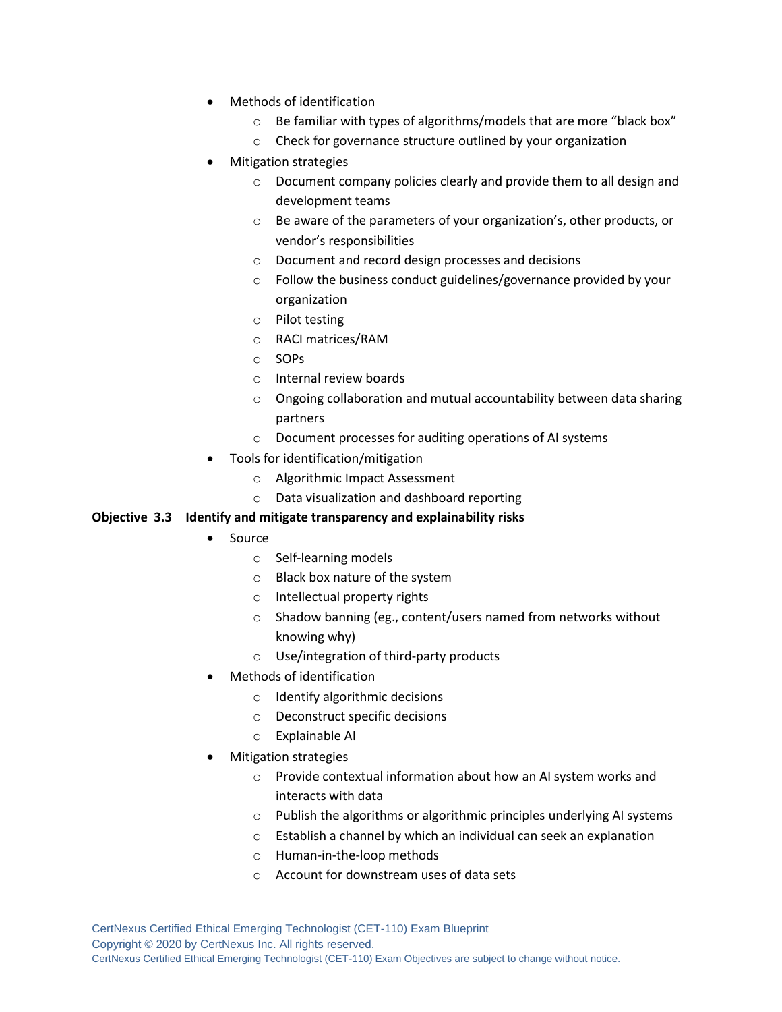- Methods of identification
	- o Be familiar with types of algorithms/models that are more "black box"
	- o Check for governance structure outlined by your organization
- Mitigation strategies
	- o Document company policies clearly and provide them to all design and development teams
	- o Be aware of the parameters of your organization's, other products, or vendor's responsibilities
	- o Document and record design processes and decisions
	- o Follow the business conduct guidelines/governance provided by your organization
	- o Pilot testing
	- o RACI matrices/RAM
	- o SOPs
	- o Internal review boards
	- o Ongoing collaboration and mutual accountability between data sharing partners
	- o Document processes for auditing operations of AI systems
- Tools for identification/mitigation
	- o Algorithmic Impact Assessment
	- o Data visualization and dashboard reporting

#### **Objective 3.3 Identify and mitigate transparency and explainability risks**

- Source
	- o Self-learning models
	- o Black box nature of the system
	- o Intellectual property rights
	- o Shadow banning (eg., content/users named from networks without knowing why)
	- o Use/integration of third-party products
- Methods of identification
	- o Identify algorithmic decisions
	- o Deconstruct specific decisions
	- o Explainable AI
- Mitigation strategies
	- o Provide contextual information about how an AI system works and interacts with data
	- o Publish the algorithms or algorithmic principles underlying AI systems
	- o Establish a channel by which an individual can seek an explanation
	- o Human-in-the-loop methods
	- o Account for downstream uses of data sets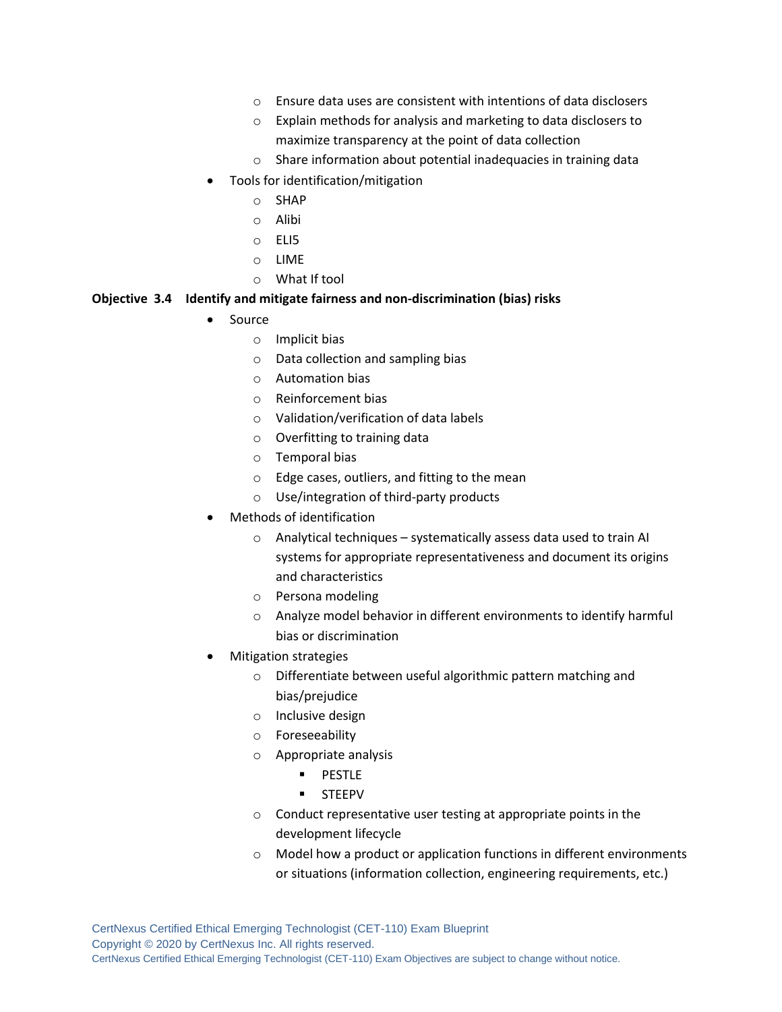- o Ensure data uses are consistent with intentions of data disclosers
- o Explain methods for analysis and marketing to data disclosers to maximize transparency at the point of data collection
- o Share information about potential inadequacies in training data
- Tools for identification/mitigation
	- o SHAP
	- o Alibi
	- o ELI5
	- o LIME
	- o What If tool

#### **Objective 3.4 Identify and mitigate fairness and non-discrimination (bias) risks**

- Source
	- o Implicit bias
	- o Data collection and sampling bias
	- o Automation bias
	- o Reinforcement bias
	- o Validation/verification of data labels
	- o Overfitting to training data
	- o Temporal bias
	- o Edge cases, outliers, and fitting to the mean
	- o Use/integration of third-party products
- Methods of identification
	- o Analytical techniques systematically assess data used to train AI systems for appropriate representativeness and document its origins and characteristics
	- o Persona modeling
	- o Analyze model behavior in different environments to identify harmful bias or discrimination
- Mitigation strategies
	- o Differentiate between useful algorithmic pattern matching and bias/prejudice
	- o Inclusive design
	- o Foreseeability
	- o Appropriate analysis
		- PESTLE
		- STEEPV
	- o Conduct representative user testing at appropriate points in the development lifecycle
	- o Model how a product or application functions in different environments or situations (information collection, engineering requirements, etc.)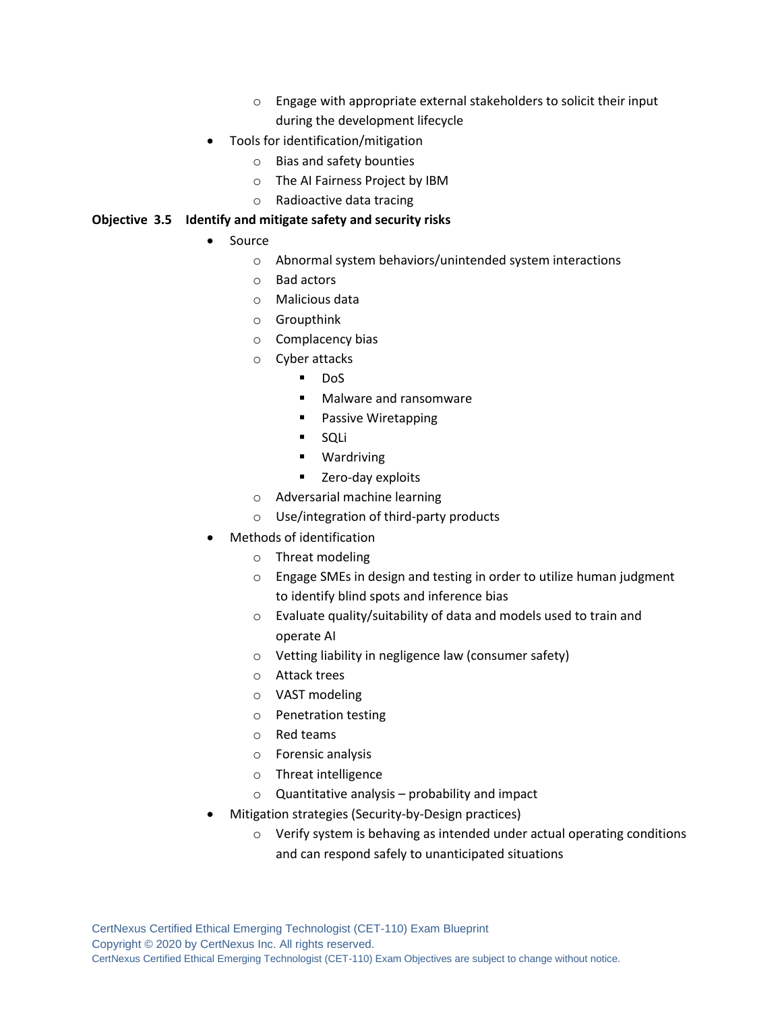- o Engage with appropriate external stakeholders to solicit their input during the development lifecycle
- Tools for identification/mitigation
	- o Bias and safety bounties
	- o The AI Fairness Project by IBM
	- o Radioactive data tracing

#### **Objective 3.5 Identify and mitigate safety and security risks**

- Source
	- o Abnormal system behaviors/unintended system interactions
	- o Bad actors
	- o Malicious data
	- o Groupthink
	- o Complacency bias
	- o Cyber attacks
		- DoS
		- Malware and ransomware
		- Passive Wiretapping
		- SQLi
		- Wardriving
		- Zero-day exploits
	- o Adversarial machine learning
	- o Use/integration of third-party products
- Methods of identification
	- o Threat modeling
	- o Engage SMEs in design and testing in order to utilize human judgment to identify blind spots and inference bias
	- $\circ$  Evaluate quality/suitability of data and models used to train and operate AI
	- o Vetting liability in negligence law (consumer safety)
	- o Attack trees
	- o VAST modeling
	- o Penetration testing
	- o Red teams
	- o Forensic analysis
	- o Threat intelligence
	- o Quantitative analysis probability and impact
- Mitigation strategies (Security-by-Design practices)
	- o Verify system is behaving as intended under actual operating conditions and can respond safely to unanticipated situations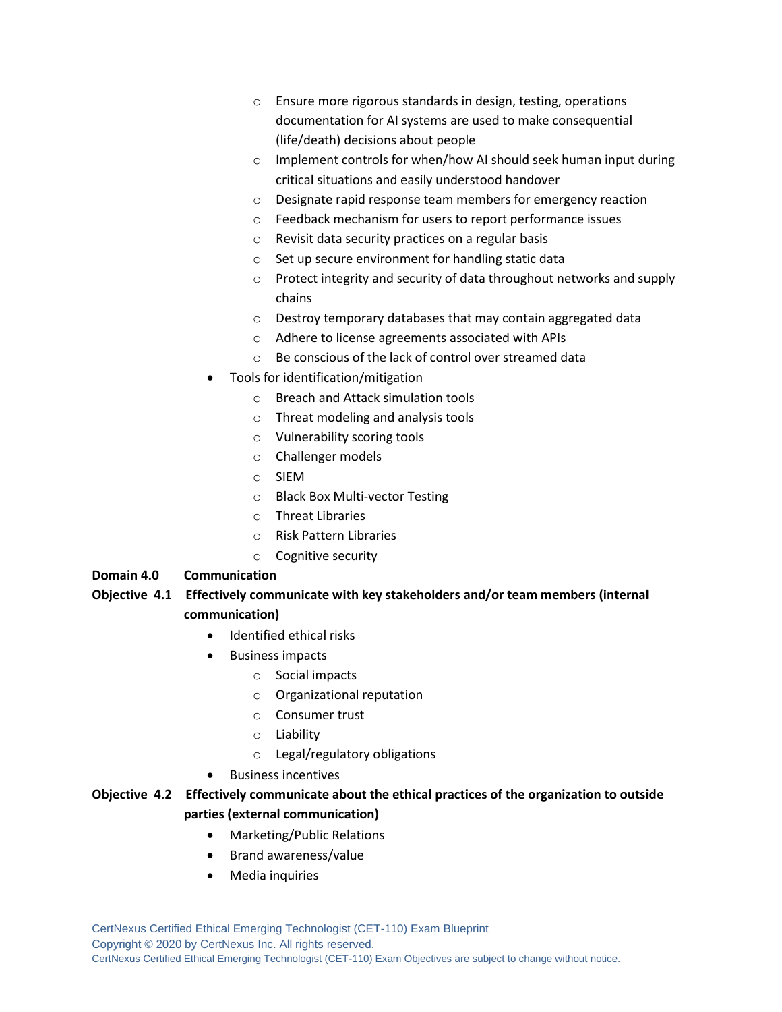- o Ensure more rigorous standards in design, testing, operations documentation for AI systems are used to make consequential (life/death) decisions about people
- o Implement controls for when/how AI should seek human input during critical situations and easily understood handover
- o Designate rapid response team members for emergency reaction
- o Feedback mechanism for users to report performance issues
- o Revisit data security practices on a regular basis
- o Set up secure environment for handling static data
- o Protect integrity and security of data throughout networks and supply chains
- o Destroy temporary databases that may contain aggregated data
- o Adhere to license agreements associated with APIs
- o Be conscious of the lack of control over streamed data
- Tools for identification/mitigation
	- o Breach and Attack simulation tools
	- o Threat modeling and analysis tools
	- o Vulnerability scoring tools
	- o Challenger models
	- o SIEM
	- o Black Box Multi-vector Testing
	- o Threat Libraries
	- o Risk Pattern Libraries
	- o Cognitive security

#### **Domain 4.0 Communication**

# **Objective 4.1 Effectively communicate with key stakeholders and/or team members (internal communication)**

- Identified ethical risks
- Business impacts
	- o Social impacts
	- o Organizational reputation
	- o Consumer trust
	- o Liability
	- o Legal/regulatory obligations
- Business incentives

# **Objective 4.2 Effectively communicate about the ethical practices of the organization to outside parties (external communication)**

- Marketing/Public Relations
- Brand awareness/value
- Media inquiries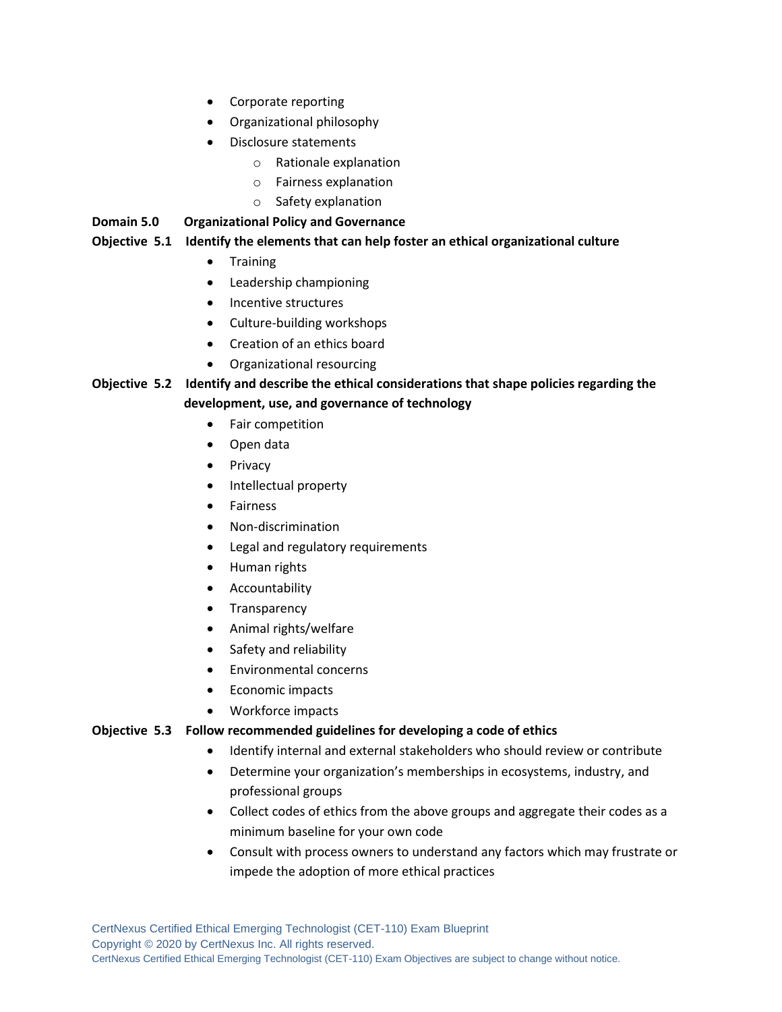- Corporate reporting
- Organizational philosophy
- Disclosure statements
	- o Rationale explanation
	- o Fairness explanation
	- o Safety explanation

**Domain 5.0 Organizational Policy and Governance**

#### **Objective 5.1 Identify the elements that can help foster an ethical organizational culture**

- Training
- Leadership championing
- Incentive structures
- Culture-building workshops
- Creation of an ethics board
- Organizational resourcing

# **Objective 5.2 Identify and describe the ethical considerations that shape policies regarding the development, use, and governance of technology**

- Fair competition
- Open data
- **Privacy**
- Intellectual property
- **Fairness**
- Non-discrimination
- Legal and regulatory requirements
- Human rights
- Accountability
- Transparency
- Animal rights/welfare
- Safety and reliability
- Environmental concerns
- Economic impacts
- Workforce impacts

#### **Objective 5.3 Follow recommended guidelines for developing a code of ethics**

- Identify internal and external stakeholders who should review or contribute
- Determine your organization's memberships in ecosystems, industry, and professional groups
- Collect codes of ethics from the above groups and aggregate their codes as a minimum baseline for your own code
- Consult with process owners to understand any factors which may frustrate or impede the adoption of more ethical practices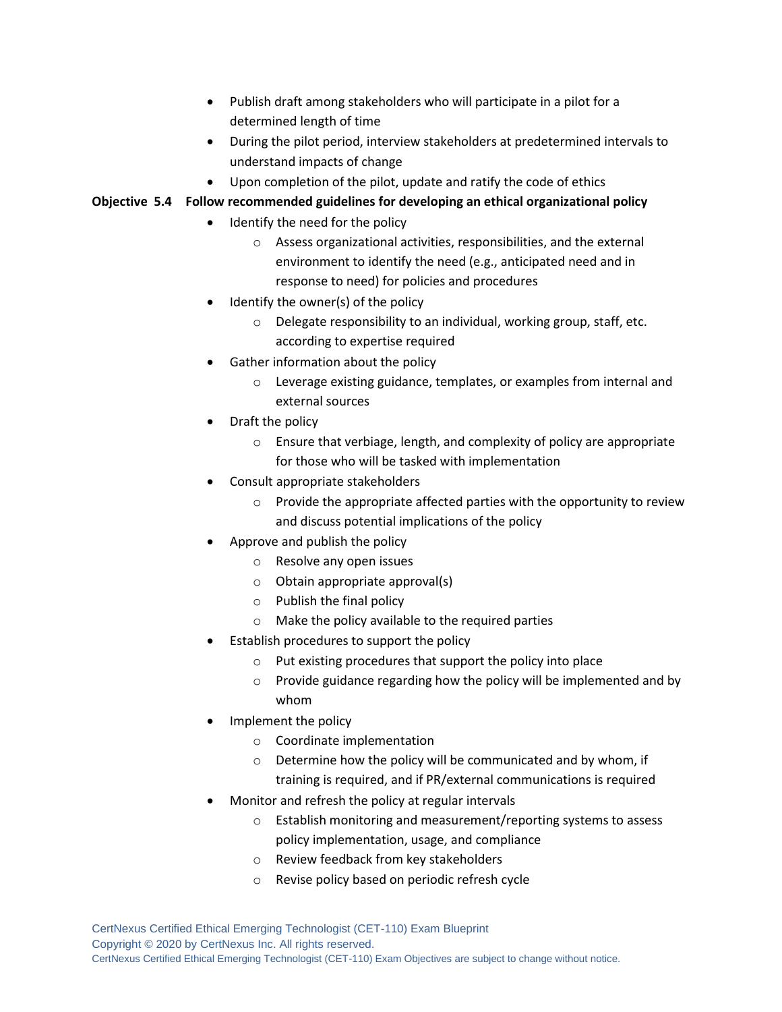- Publish draft among stakeholders who will participate in a pilot for a determined length of time
- During the pilot period, interview stakeholders at predetermined intervals to understand impacts of change
- Upon completion of the pilot, update and ratify the code of ethics

# **Objective 5.4 Follow recommended guidelines for developing an ethical organizational policy**

- Identify the need for the policy
	- o Assess organizational activities, responsibilities, and the external environment to identify the need (e.g., anticipated need and in response to need) for policies and procedures
- Identify the owner(s) of the policy
	- o Delegate responsibility to an individual, working group, staff, etc. according to expertise required
- Gather information about the policy
	- o Leverage existing guidance, templates, or examples from internal and external sources
- Draft the policy
	- o Ensure that verbiage, length, and complexity of policy are appropriate for those who will be tasked with implementation
- Consult appropriate stakeholders
	- o Provide the appropriate affected parties with the opportunity to review and discuss potential implications of the policy
- Approve and publish the policy
	- o Resolve any open issues
	- $\circ$  Obtain appropriate approval(s)
	- o Publish the final policy
	- o Make the policy available to the required parties
- Establish procedures to support the policy
	- o Put existing procedures that support the policy into place
	- o Provide guidance regarding how the policy will be implemented and by whom
- Implement the policy
	- o Coordinate implementation
	- o Determine how the policy will be communicated and by whom, if training is required, and if PR/external communications is required
- Monitor and refresh the policy at regular intervals
	- o Establish monitoring and measurement/reporting systems to assess policy implementation, usage, and compliance
	- o Review feedback from key stakeholders
	- o Revise policy based on periodic refresh cycle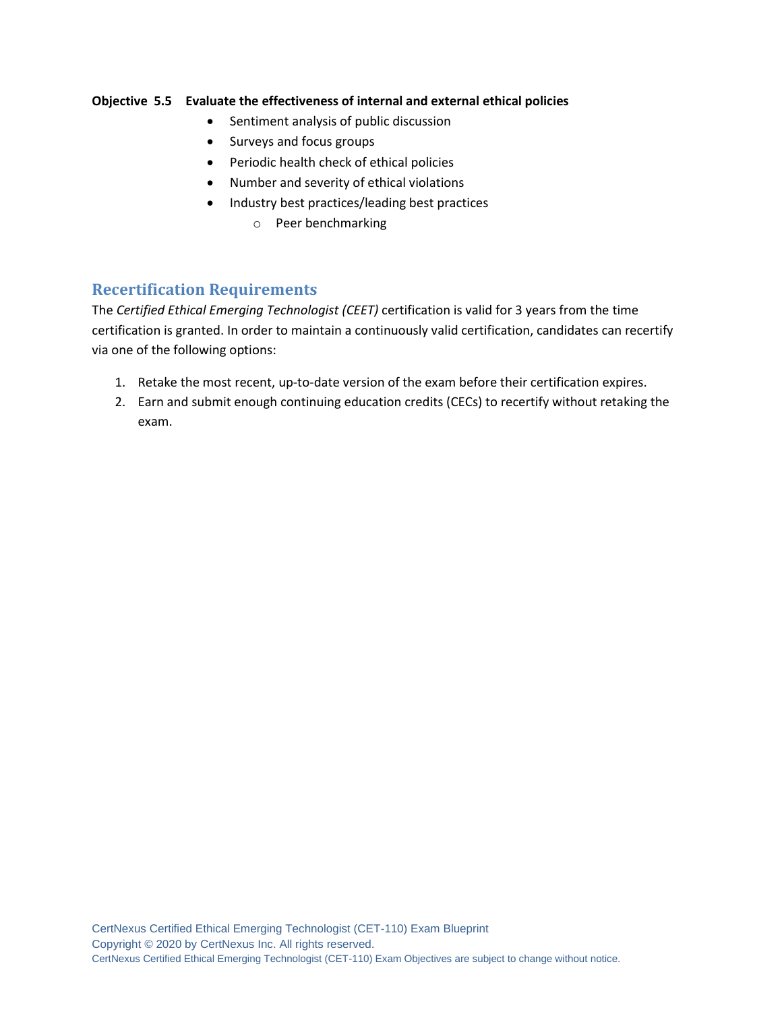#### **Objective 5.5 Evaluate the effectiveness of internal and external ethical policies**

- Sentiment analysis of public discussion
- Surveys and focus groups
- Periodic health check of ethical policies
- Number and severity of ethical violations
- Industry best practices/leading best practices
	- o Peer benchmarking

# **Recertification Requirements**

The *Certified Ethical Emerging Technologist (CEET)* certification is valid for 3 years from the time certification is granted. In order to maintain a continuously valid certification, candidates can recertify via one of the following options:

- 1. Retake the most recent, up-to-date version of the exam before their certification expires.
- 2. Earn and submit enough continuing education credits (CECs) to recertify without retaking the exam.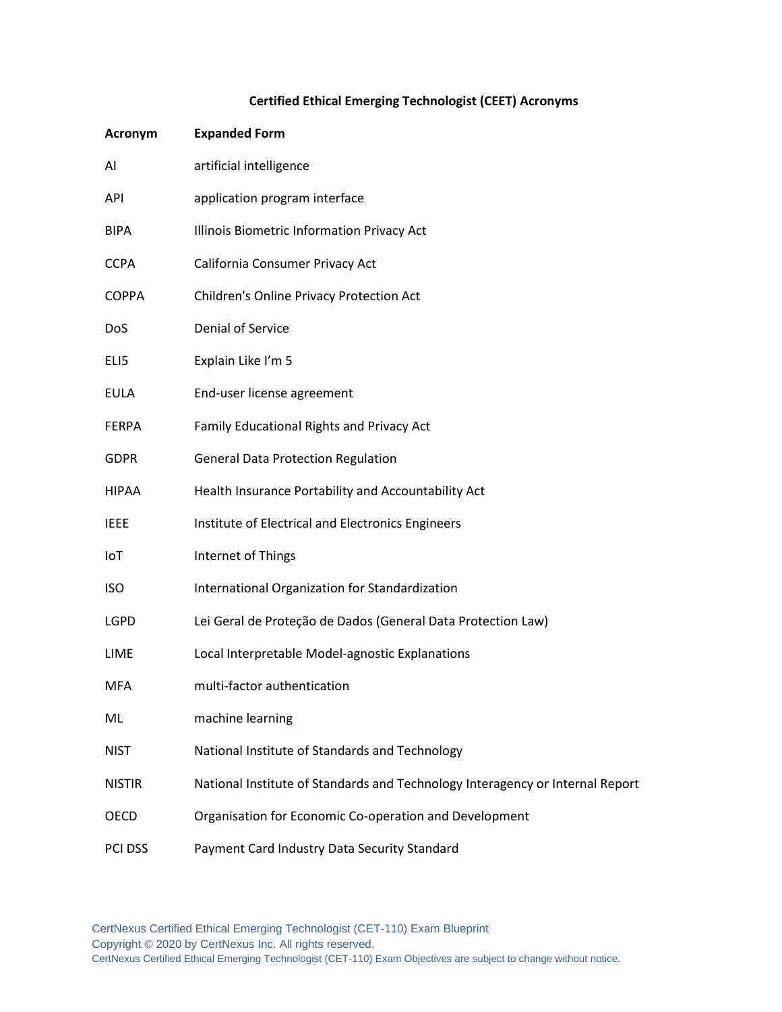# **Certified Ethical Emerging Technologist (CEET) Acronyms**

| Acronym       | <b>Expanded Form</b>                                                          |
|---------------|-------------------------------------------------------------------------------|
| AI            | artificial intelligence                                                       |
| <b>API</b>    | application program interface                                                 |
| <b>BIPA</b>   | Illinois Biometric Information Privacy Act                                    |
| <b>CCPA</b>   | California Consumer Privacy Act                                               |
| <b>COPPA</b>  | Children's Online Privacy Protection Act                                      |
| <b>DoS</b>    | Denial of Service                                                             |
| ELI5          | Explain Like I'm 5                                                            |
| EULA          | End-user license agreement                                                    |
| <b>FERPA</b>  | Family Educational Rights and Privacy Act                                     |
| <b>GDPR</b>   | <b>General Data Protection Regulation</b>                                     |
| HIPAA         | Health Insurance Portability and Accountability Act                           |
| <b>IEEE</b>   | Institute of Electrical and Electronics Engineers                             |
| IoT           | Internet of Things                                                            |
| <b>ISO</b>    | International Organization for Standardization                                |
| <b>LGPD</b>   | Lei Geral de Proteção de Dados (General Data Protection Law)                  |
| LIME          | Local Interpretable Model-agnostic Explanations                               |
| MFA           | multi-factor authentication                                                   |
| ML.           | machine learning                                                              |
| <b>NIST</b>   | National Institute of Standards and Technology                                |
| <b>NISTIR</b> | National Institute of Standards and Technology Interagency or Internal Report |
| OECD          | Organisation for Economic Co-operation and Development                        |
| PCI DSS       | Payment Card Industry Data Security Standard                                  |